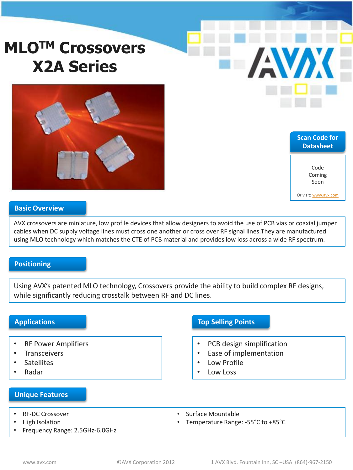# **MLOTM Crossovers X2A Series**



**Scan Code for Datasheet** Code Coming Soon

**AVAX** 

Or visit: [www.avx.com](http://www.avx.com/)

#### **Basic Overview**

AVX crossovers are miniature, low profile devices that allow designers to avoid the use of PCB vias or coaxial jumper cables when DC supply voltage lines must cross one another or cross over RF signal lines.They are manufactured using MLO technology which matches the CTE of PCB material and provides low loss across a wide RF spectrum.

## **Positioning**

Using AVX's patented MLO technology, Crossovers provide the ability to build complex RF designs, while significantly reducing crosstalk between RF and DC lines.

### **Applications**

- RF Power Amplifiers
- **Transceivers**
- **Satellites**
- Radar

# **Top Selling Points**

- PCB design simplification
- Ease of implementation
- Low Profile
- Low Loss

#### **Unique Features**

- RF-DC Crossover
- High Isolation
- Frequency Range: 2.5GHz-6.0GHz
- Surface Mountable
- Temperature Range: -55°C to +85°C